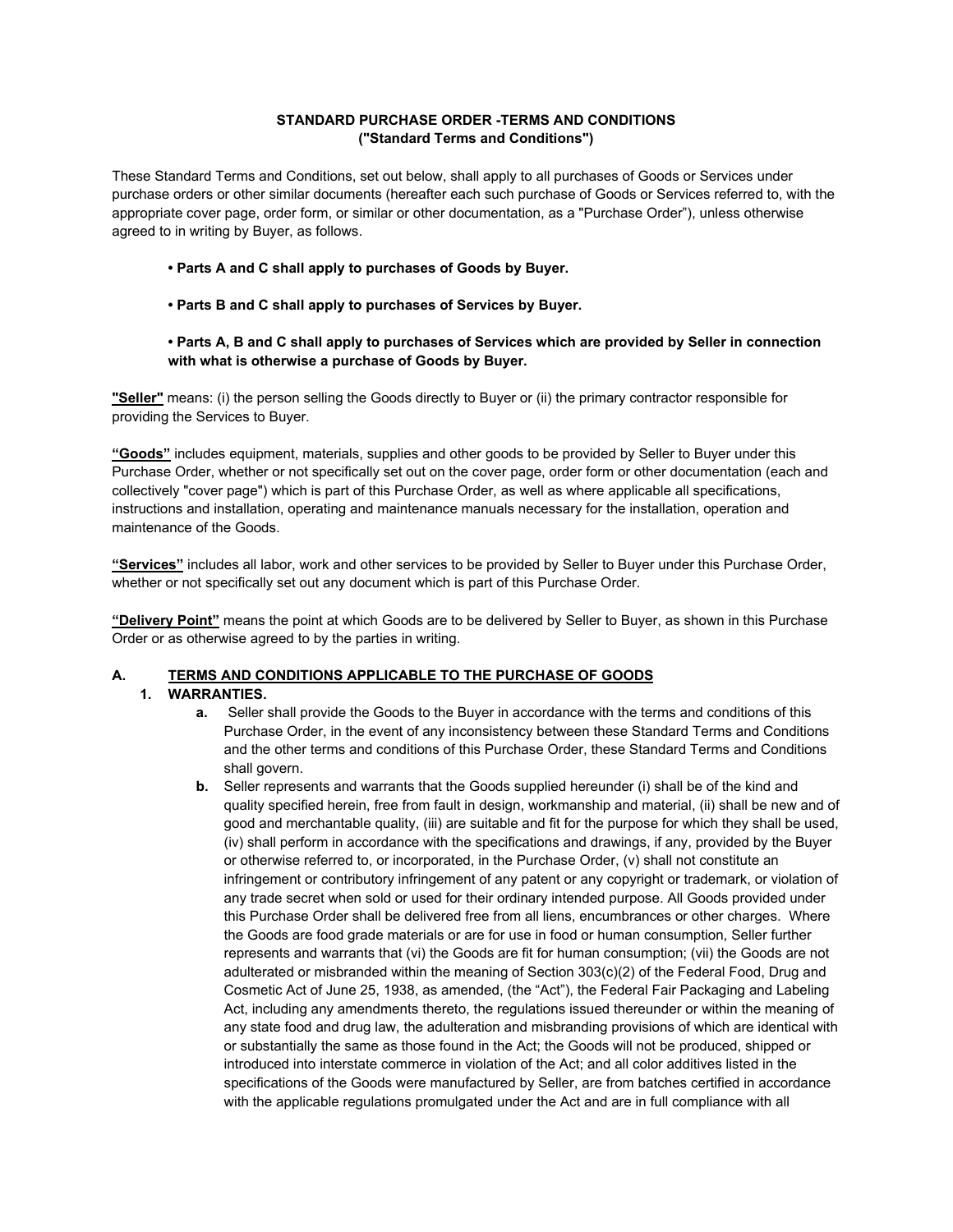## **STANDARD PURCHASE ORDER -TERMS AND CONDITIONS ("Standard Terms and Conditions")**

These Standard Terms and Conditions, set out below, shall apply to all purchases of Goods or Services under purchase orders or other similar documents (hereafter each such purchase of Goods or Services referred to, with the appropriate cover page, order form, or similar or other documentation, as a "Purchase Order"), unless otherwise agreed to in writing by Buyer, as follows.

- **Parts A and C shall apply to purchases of Goods by Buyer.**
- **Parts B and C shall apply to purchases of Services by Buyer.**

## **• Parts A, B and C shall apply to purchases of Services which are provided by Seller in connection with what is otherwise a purchase of Goods by Buyer.**

**"Seller"** means: (i) the person selling the Goods directly to Buyer or (ii) the primary contractor responsible for providing the Services to Buyer.

**"Goods"** includes equipment, materials, supplies and other goods to be provided by Seller to Buyer under this Purchase Order, whether or not specifically set out on the cover page, order form or other documentation (each and collectively "cover page") which is part of this Purchase Order, as well as where applicable all specifications, instructions and installation, operating and maintenance manuals necessary for the installation, operation and maintenance of the Goods.

**"Services"** includes all labor, work and other services to be provided by Seller to Buyer under this Purchase Order, whether or not specifically set out any document which is part of this Purchase Order.

**"Delivery Point"** means the point at which Goods are to be delivered by Seller to Buyer, as shown in this Purchase Order or as otherwise agreed to by the parties in writing.

## **A. TERMS AND CONDITIONS APPLICABLE TO THE PURCHASE OF GOODS**

- **1. WARRANTIES.**
	- **a.** Seller shall provide the Goods to the Buyer in accordance with the terms and conditions of this Purchase Order, in the event of any inconsistency between these Standard Terms and Conditions and the other terms and conditions of this Purchase Order, these Standard Terms and Conditions shall govern.
	- **b.** Seller represents and warrants that the Goods supplied hereunder (i) shall be of the kind and quality specified herein, free from fault in design, workmanship and material, (ii) shall be new and of good and merchantable quality, (iii) are suitable and fit for the purpose for which they shall be used, (iv) shall perform in accordance with the specifications and drawings, if any, provided by the Buyer or otherwise referred to, or incorporated, in the Purchase Order, (v) shall not constitute an infringement or contributory infringement of any patent or any copyright or trademark, or violation of any trade secret when sold or used for their ordinary intended purpose. All Goods provided under this Purchase Order shall be delivered free from all liens, encumbrances or other charges. Where the Goods are food grade materials or are for use in food or human consumption, Seller further represents and warrants that (vi) the Goods are fit for human consumption; (vii) the Goods are not adulterated or misbranded within the meaning of Section 303(c)(2) of the Federal Food, Drug and Cosmetic Act of June 25, 1938, as amended, (the "Act"), the Federal Fair Packaging and Labeling Act, including any amendments thereto, the regulations issued thereunder or within the meaning of any state food and drug law, the adulteration and misbranding provisions of which are identical with or substantially the same as those found in the Act; the Goods will not be produced, shipped or introduced into interstate commerce in violation of the Act; and all color additives listed in the specifications of the Goods were manufactured by Seller, are from batches certified in accordance with the applicable regulations promulgated under the Act and are in full compliance with all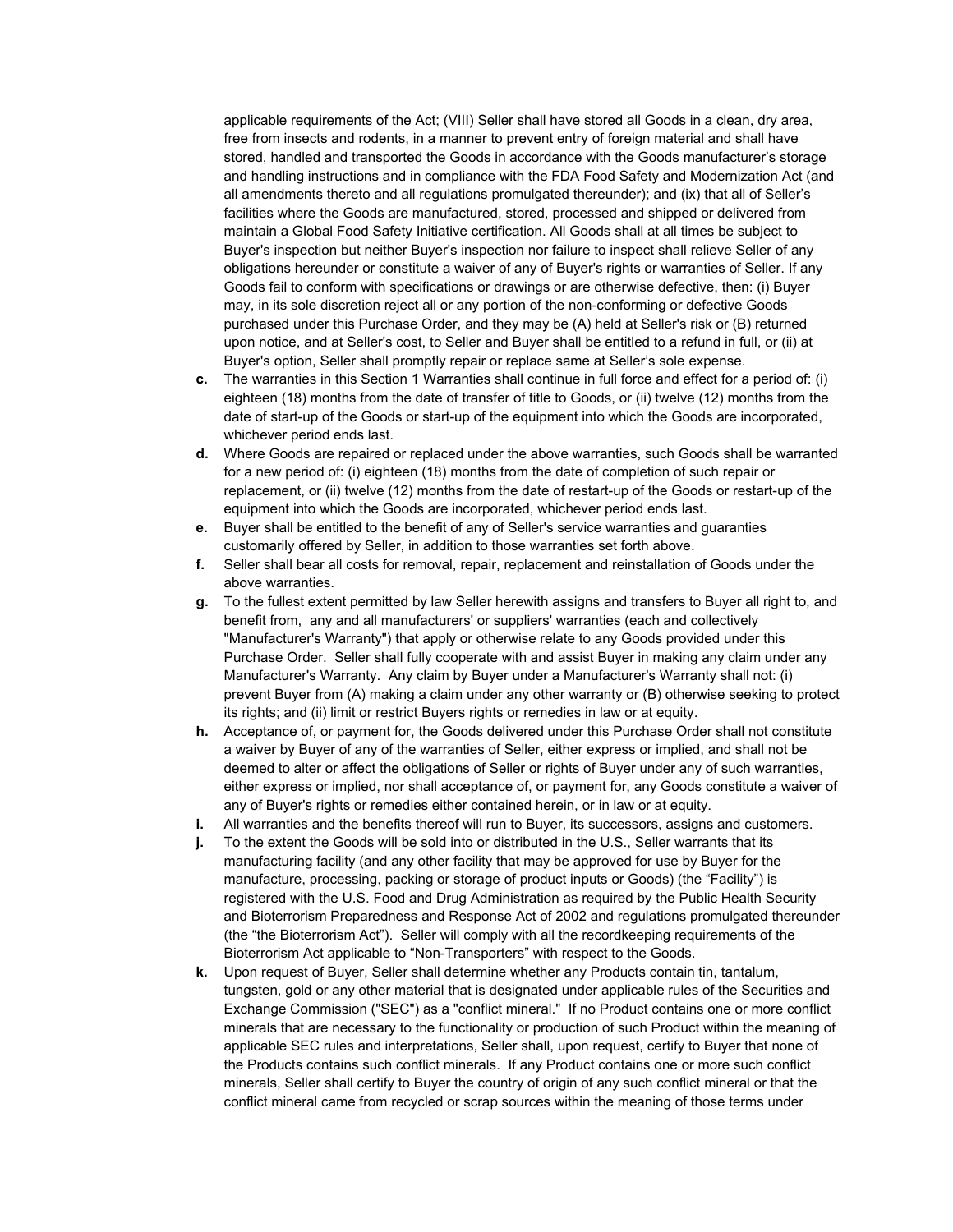applicable requirements of the Act; (VIII) Seller shall have stored all Goods in a clean, dry area, free from insects and rodents, in a manner to prevent entry of foreign material and shall have stored, handled and transported the Goods in accordance with the Goods manufacturer's storage and handling instructions and in compliance with the FDA Food Safety and Modernization Act (and all amendments thereto and all regulations promulgated thereunder); and (ix) that all of Seller's facilities where the Goods are manufactured, stored, processed and shipped or delivered from maintain a Global Food Safety Initiative certification. All Goods shall at all times be subject to Buyer's inspection but neither Buyer's inspection nor failure to inspect shall relieve Seller of any obligations hereunder or constitute a waiver of any of Buyer's rights or warranties of Seller. If any Goods fail to conform with specifications or drawings or are otherwise defective, then: (i) Buyer may, in its sole discretion reject all or any portion of the non-conforming or defective Goods purchased under this Purchase Order, and they may be (A) held at Seller's risk or (B) returned upon notice, and at Seller's cost, to Seller and Buyer shall be entitled to a refund in full, or (ii) at Buyer's option, Seller shall promptly repair or replace same at Seller's sole expense.

- **c.** The warranties in this Section 1 Warranties shall continue in full force and effect for a period of: (i) eighteen (18) months from the date of transfer of title to Goods, or (ii) twelve (12) months from the date of start-up of the Goods or start-up of the equipment into which the Goods are incorporated, whichever period ends last.
- **d.** Where Goods are repaired or replaced under the above warranties, such Goods shall be warranted for a new period of: (i) eighteen (18) months from the date of completion of such repair or replacement, or (ii) twelve (12) months from the date of restart-up of the Goods or restart-up of the equipment into which the Goods are incorporated, whichever period ends last.
- **e.** Buyer shall be entitled to the benefit of any of Seller's service warranties and guaranties customarily offered by Seller, in addition to those warranties set forth above.
- **f.** Seller shall bear all costs for removal, repair, replacement and reinstallation of Goods under the above warranties.
- **g.** To the fullest extent permitted by law Seller herewith assigns and transfers to Buyer all right to, and benefit from, any and all manufacturers' or suppliers' warranties (each and collectively "Manufacturer's Warranty") that apply or otherwise relate to any Goods provided under this Purchase Order. Seller shall fully cooperate with and assist Buyer in making any claim under any Manufacturer's Warranty. Any claim by Buyer under a Manufacturer's Warranty shall not: (i) prevent Buyer from (A) making a claim under any other warranty or (B) otherwise seeking to protect its rights; and (ii) limit or restrict Buyers rights or remedies in law or at equity.
- **h.** Acceptance of, or payment for, the Goods delivered under this Purchase Order shall not constitute a waiver by Buyer of any of the warranties of Seller, either express or implied, and shall not be deemed to alter or affect the obligations of Seller or rights of Buyer under any of such warranties, either express or implied, nor shall acceptance of, or payment for, any Goods constitute a waiver of any of Buyer's rights or remedies either contained herein, or in law or at equity.
- **i.** All warranties and the benefits thereof will run to Buyer, its successors, assigns and customers.
- **j.** To the extent the Goods will be sold into or distributed in the U.S., Seller warrants that its manufacturing facility (and any other facility that may be approved for use by Buyer for the manufacture, processing, packing or storage of product inputs or Goods) (the "Facility") is registered with the U.S. Food and Drug Administration as required by the Public Health Security and Bioterrorism Preparedness and Response Act of 2002 and regulations promulgated thereunder (the "the Bioterrorism Act"). Seller will comply with all the recordkeeping requirements of the Bioterrorism Act applicable to "Non-Transporters" with respect to the Goods.
- **k.** Upon request of Buyer, Seller shall determine whether any Products contain tin, tantalum, tungsten, gold or any other material that is designated under applicable rules of the Securities and Exchange Commission ("SEC") as a "conflict mineral." If no Product contains one or more conflict minerals that are necessary to the functionality or production of such Product within the meaning of applicable SEC rules and interpretations, Seller shall, upon request, certify to Buyer that none of the Products contains such conflict minerals. If any Product contains one or more such conflict minerals, Seller shall certify to Buyer the country of origin of any such conflict mineral or that the conflict mineral came from recycled or scrap sources within the meaning of those terms under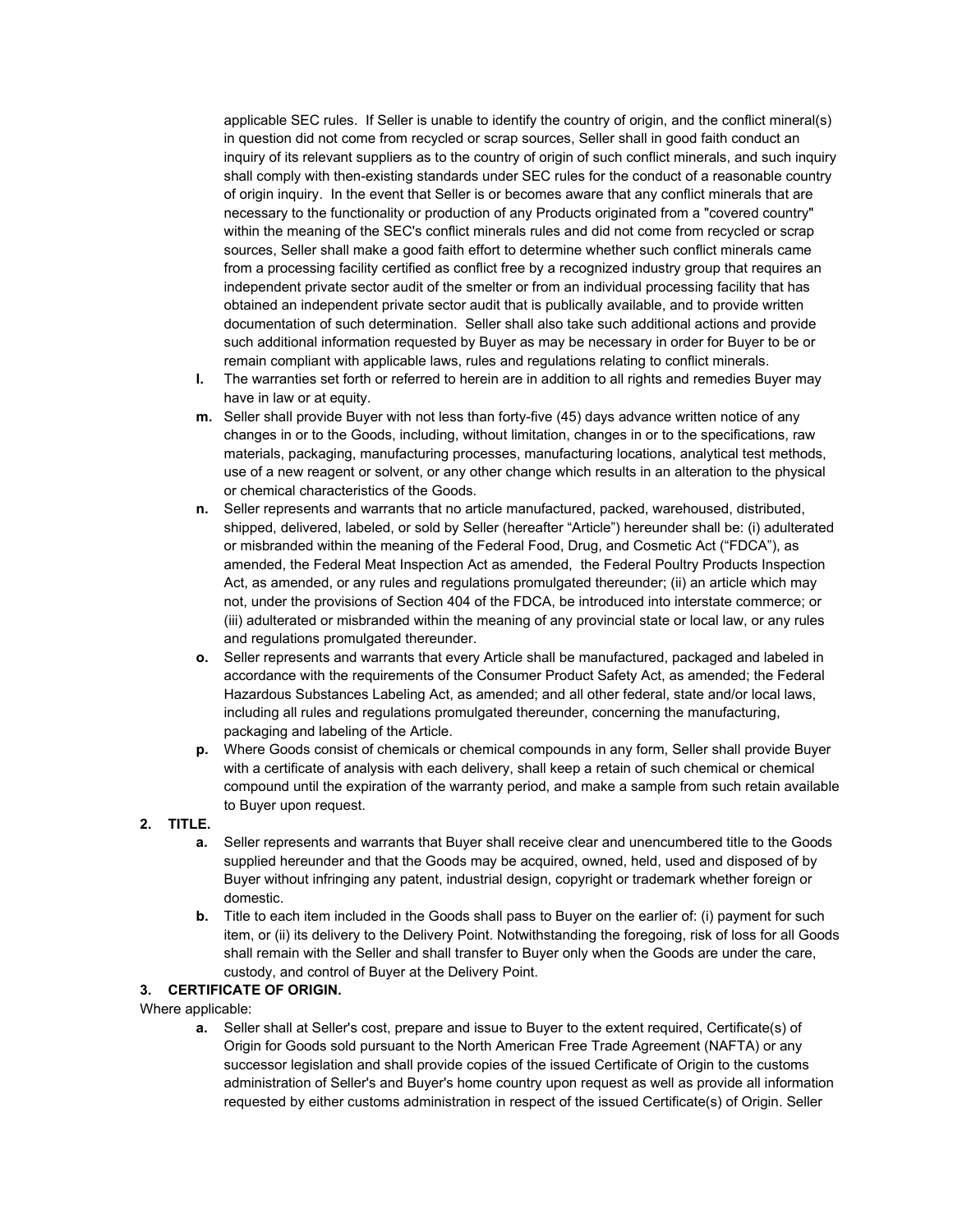applicable SEC rules. If Seller is unable to identify the country of origin, and the conflict mineral(s) in question did not come from recycled or scrap sources, Seller shall in good faith conduct an inquiry of its relevant suppliers as to the country of origin of such conflict minerals, and such inquiry shall comply with then-existing standards under SEC rules for the conduct of a reasonable country of origin inquiry. In the event that Seller is or becomes aware that any conflict minerals that are necessary to the functionality or production of any Products originated from a "covered country" within the meaning of the SEC's conflict minerals rules and did not come from recycled or scrap sources, Seller shall make a good faith effort to determine whether such conflict minerals came from a processing facility certified as conflict free by a recognized industry group that requires an independent private sector audit of the smelter or from an individual processing facility that has obtained an independent private sector audit that is publically available, and to provide written documentation of such determination. Seller shall also take such additional actions and provide such additional information requested by Buyer as may be necessary in order for Buyer to be or remain compliant with applicable laws, rules and regulations relating to conflict minerals.

- **l.** The warranties set forth or referred to herein are in addition to all rights and remedies Buyer may have in law or at equity.
- **m.** Seller shall provide Buyer with not less than forty-five (45) days advance written notice of any changes in or to the Goods, including, without limitation, changes in or to the specifications, raw materials, packaging, manufacturing processes, manufacturing locations, analytical test methods, use of a new reagent or solvent, or any other change which results in an alteration to the physical or chemical characteristics of the Goods.
- **n.** Seller represents and warrants that no article manufactured, packed, warehoused, distributed, shipped, delivered, labeled, or sold by Seller (hereafter "Article") hereunder shall be: (i) adulterated or misbranded within the meaning of the Federal Food, Drug, and Cosmetic Act ("FDCA"), as amended, the Federal Meat Inspection Act as amended, the Federal Poultry Products Inspection Act, as amended, or any rules and regulations promulgated thereunder; (ii) an article which may not, under the provisions of Section 404 of the FDCA, be introduced into interstate commerce; or (iii) adulterated or misbranded within the meaning of any provincial state or local law, or any rules and regulations promulgated thereunder.
- **o.** Seller represents and warrants that every Article shall be manufactured, packaged and labeled in accordance with the requirements of the Consumer Product Safety Act, as amended; the Federal Hazardous Substances Labeling Act, as amended; and all other federal, state and/or local laws, including all rules and regulations promulgated thereunder, concerning the manufacturing, packaging and labeling of the Article.
- **p.** Where Goods consist of chemicals or chemical compounds in any form, Seller shall provide Buyer with a certificate of analysis with each delivery, shall keep a retain of such chemical or chemical compound until the expiration of the warranty period, and make a sample from such retain available to Buyer upon request.

# **2. TITLE.**

- **a.** Seller represents and warrants that Buyer shall receive clear and unencumbered title to the Goods supplied hereunder and that the Goods may be acquired, owned, held, used and disposed of by Buyer without infringing any patent, industrial design, copyright or trademark whether foreign or domestic.
- **b.** Title to each item included in the Goods shall pass to Buyer on the earlier of: (i) payment for such item, or (ii) its delivery to the Delivery Point. Notwithstanding the foregoing, risk of loss for all Goods shall remain with the Seller and shall transfer to Buyer only when the Goods are under the care, custody, and control of Buyer at the Delivery Point.

## **3. CERTIFICATE OF ORIGIN.**

Where applicable:

**a.** Seller shall at Seller's cost, prepare and issue to Buyer to the extent required, Certificate(s) of Origin for Goods sold pursuant to the North American Free Trade Agreement (NAFTA) or any successor legislation and shall provide copies of the issued Certificate of Origin to the customs administration of Seller's and Buyer's home country upon request as well as provide all information requested by either customs administration in respect of the issued Certificate(s) of Origin. Seller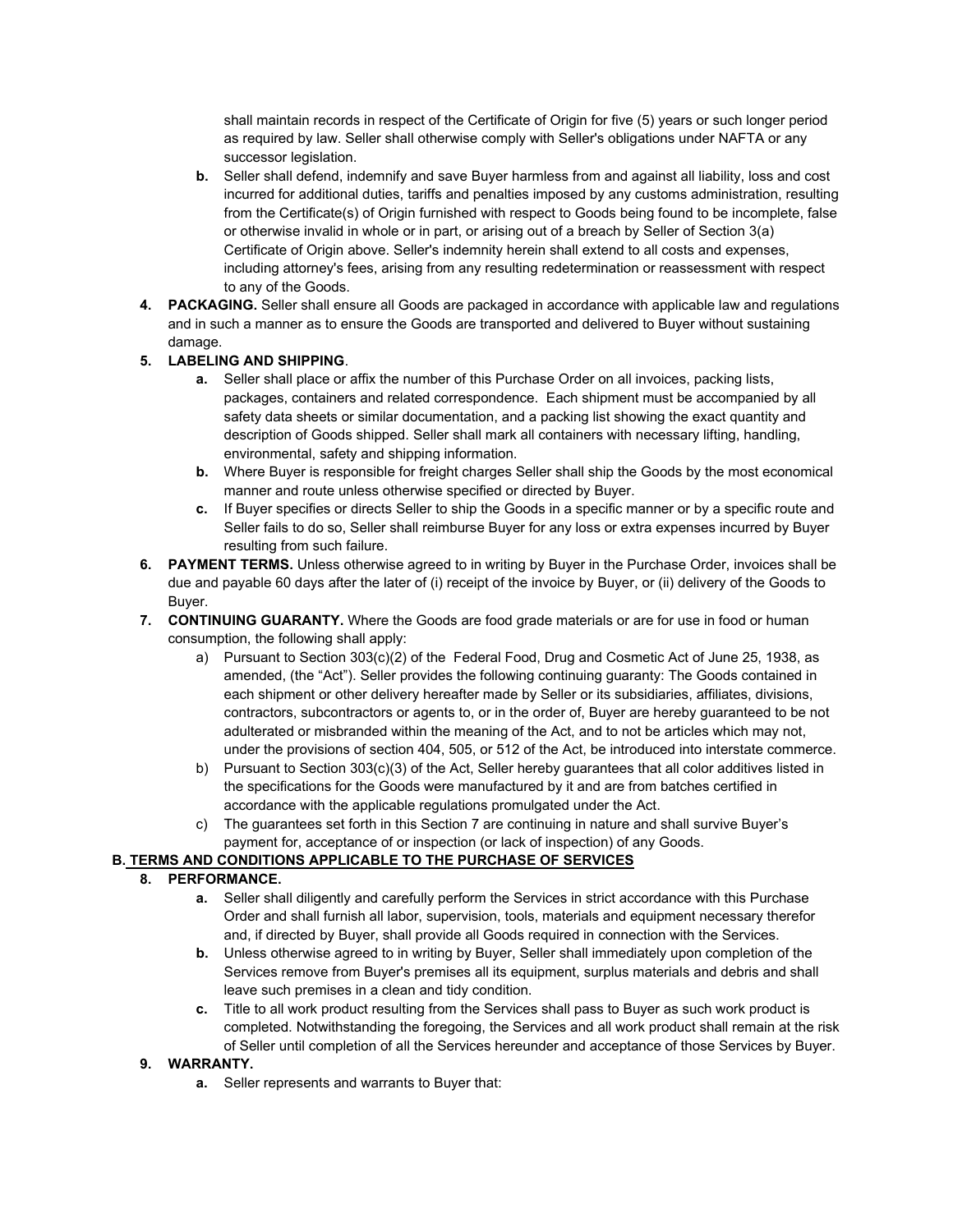shall maintain records in respect of the Certificate of Origin for five (5) years or such longer period as required by law. Seller shall otherwise comply with Seller's obligations under NAFTA or any successor legislation.

- **b.** Seller shall defend, indemnify and save Buyer harmless from and against all liability, loss and cost incurred for additional duties, tariffs and penalties imposed by any customs administration, resulting from the Certificate(s) of Origin furnished with respect to Goods being found to be incomplete, false or otherwise invalid in whole or in part, or arising out of a breach by Seller of Section 3(a) Certificate of Origin above. Seller's indemnity herein shall extend to all costs and expenses, including attorney's fees, arising from any resulting redetermination or reassessment with respect to any of the Goods.
- **4. PACKAGING.** Seller shall ensure all Goods are packaged in accordance with applicable law and regulations and in such a manner as to ensure the Goods are transported and delivered to Buyer without sustaining damage.

# **5. LABELING AND SHIPPING**.

- **a.** Seller shall place or affix the number of this Purchase Order on all invoices, packing lists, packages, containers and related correspondence. Each shipment must be accompanied by all safety data sheets or similar documentation, and a packing list showing the exact quantity and description of Goods shipped. Seller shall mark all containers with necessary lifting, handling, environmental, safety and shipping information.
- **b.** Where Buyer is responsible for freight charges Seller shall ship the Goods by the most economical manner and route unless otherwise specified or directed by Buyer.
- **c.** If Buyer specifies or directs Seller to ship the Goods in a specific manner or by a specific route and Seller fails to do so, Seller shall reimburse Buyer for any loss or extra expenses incurred by Buyer resulting from such failure.
- **6. PAYMENT TERMS.** Unless otherwise agreed to in writing by Buyer in the Purchase Order, invoices shall be due and payable 60 days after the later of (i) receipt of the invoice by Buyer, or (ii) delivery of the Goods to Buyer.
- **7. CONTINUING GUARANTY.** Where the Goods are food grade materials or are for use in food or human consumption, the following shall apply:
	- a) Pursuant to Section 303(c)(2) of the Federal Food, Drug and Cosmetic Act of June 25, 1938, as amended, (the "Act"). Seller provides the following continuing guaranty: The Goods contained in each shipment or other delivery hereafter made by Seller or its subsidiaries, affiliates, divisions, contractors, subcontractors or agents to, or in the order of, Buyer are hereby guaranteed to be not adulterated or misbranded within the meaning of the Act, and to not be articles which may not, under the provisions of section 404, 505, or 512 of the Act, be introduced into interstate commerce.
	- b) Pursuant to Section 303(c)(3) of the Act, Seller hereby guarantees that all color additives listed in the specifications for the Goods were manufactured by it and are from batches certified in accordance with the applicable regulations promulgated under the Act.
	- c) The guarantees set forth in this Section 7 are continuing in nature and shall survive Buyer's payment for, acceptance of or inspection (or lack of inspection) of any Goods.

## **B. TERMS AND CONDITIONS APPLICABLE TO THE PURCHASE OF SERVICES**

## **8. PERFORMANCE.**

- **a.** Seller shall diligently and carefully perform the Services in strict accordance with this Purchase Order and shall furnish all labor, supervision, tools, materials and equipment necessary therefor and, if directed by Buyer, shall provide all Goods required in connection with the Services.
- **b.** Unless otherwise agreed to in writing by Buyer, Seller shall immediately upon completion of the Services remove from Buyer's premises all its equipment, surplus materials and debris and shall leave such premises in a clean and tidy condition.
- **c.** Title to all work product resulting from the Services shall pass to Buyer as such work product is completed. Notwithstanding the foregoing, the Services and all work product shall remain at the risk of Seller until completion of all the Services hereunder and acceptance of those Services by Buyer.

## **9. WARRANTY.**

**a.** Seller represents and warrants to Buyer that: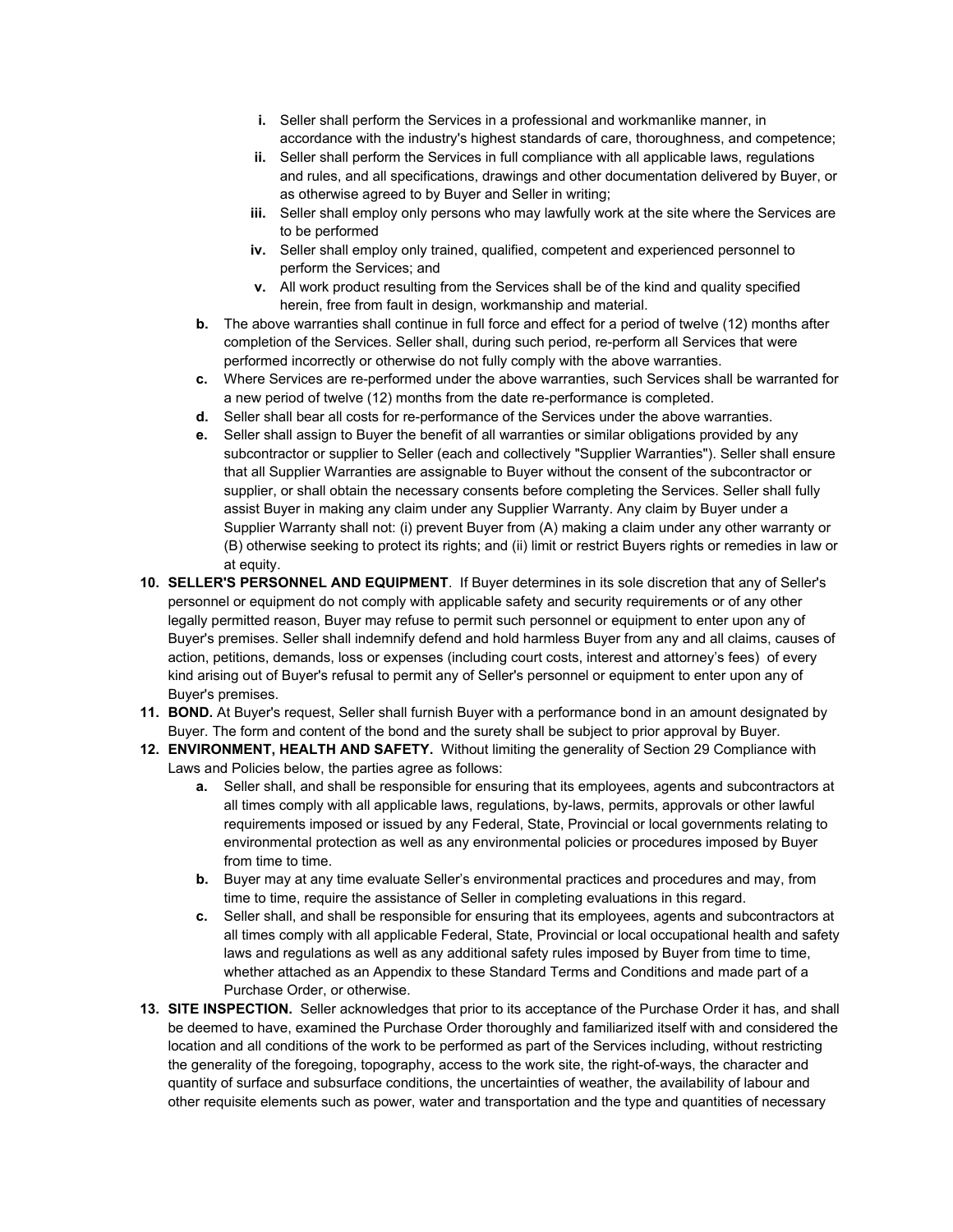- **i.** Seller shall perform the Services in a professional and workmanlike manner, in accordance with the industry's highest standards of care, thoroughness, and competence;
- **ii.** Seller shall perform the Services in full compliance with all applicable laws, regulations and rules, and all specifications, drawings and other documentation delivered by Buyer, or as otherwise agreed to by Buyer and Seller in writing;
- **iii.** Seller shall employ only persons who may lawfully work at the site where the Services are to be performed
- **iv.** Seller shall employ only trained, qualified, competent and experienced personnel to perform the Services; and
- **v.** All work product resulting from the Services shall be of the kind and quality specified herein, free from fault in design, workmanship and material.
- **b.** The above warranties shall continue in full force and effect for a period of twelve (12) months after completion of the Services. Seller shall, during such period, re-perform all Services that were performed incorrectly or otherwise do not fully comply with the above warranties.
- **c.** Where Services are re-performed under the above warranties, such Services shall be warranted for a new period of twelve (12) months from the date re-performance is completed.
- **d.** Seller shall bear all costs for re-performance of the Services under the above warranties.
- **e.** Seller shall assign to Buyer the benefit of all warranties or similar obligations provided by any subcontractor or supplier to Seller (each and collectively "Supplier Warranties"). Seller shall ensure that all Supplier Warranties are assignable to Buyer without the consent of the subcontractor or supplier, or shall obtain the necessary consents before completing the Services. Seller shall fully assist Buyer in making any claim under any Supplier Warranty. Any claim by Buyer under a Supplier Warranty shall not: (i) prevent Buyer from (A) making a claim under any other warranty or (B) otherwise seeking to protect its rights; and (ii) limit or restrict Buyers rights or remedies in law or at equity.
- **10. SELLER'S PERSONNEL AND EQUIPMENT**. If Buyer determines in its sole discretion that any of Seller's personnel or equipment do not comply with applicable safety and security requirements or of any other legally permitted reason, Buyer may refuse to permit such personnel or equipment to enter upon any of Buyer's premises. Seller shall indemnify defend and hold harmless Buyer from any and all claims, causes of action, petitions, demands, loss or expenses (including court costs, interest and attorney's fees) of every kind arising out of Buyer's refusal to permit any of Seller's personnel or equipment to enter upon any of Buyer's premises.
- **11. BOND.** At Buyer's request, Seller shall furnish Buyer with a performance bond in an amount designated by Buyer. The form and content of the bond and the surety shall be subject to prior approval by Buyer.
- **12. ENVIRONMENT, HEALTH AND SAFETY.** Without limiting the generality of Section 29 Compliance with Laws and Policies below, the parties agree as follows:
	- **a.** Seller shall, and shall be responsible for ensuring that its employees, agents and subcontractors at all times comply with all applicable laws, regulations, by-laws, permits, approvals or other lawful requirements imposed or issued by any Federal, State, Provincial or local governments relating to environmental protection as well as any environmental policies or procedures imposed by Buyer from time to time.
	- **b.** Buyer may at any time evaluate Seller's environmental practices and procedures and may, from time to time, require the assistance of Seller in completing evaluations in this regard.
	- **c.** Seller shall, and shall be responsible for ensuring that its employees, agents and subcontractors at all times comply with all applicable Federal, State, Provincial or local occupational health and safety laws and regulations as well as any additional safety rules imposed by Buyer from time to time, whether attached as an Appendix to these Standard Terms and Conditions and made part of a Purchase Order, or otherwise.
- **13. SITE INSPECTION.** Seller acknowledges that prior to its acceptance of the Purchase Order it has, and shall be deemed to have, examined the Purchase Order thoroughly and familiarized itself with and considered the location and all conditions of the work to be performed as part of the Services including, without restricting the generality of the foregoing, topography, access to the work site, the right-of-ways, the character and quantity of surface and subsurface conditions, the uncertainties of weather, the availability of labour and other requisite elements such as power, water and transportation and the type and quantities of necessary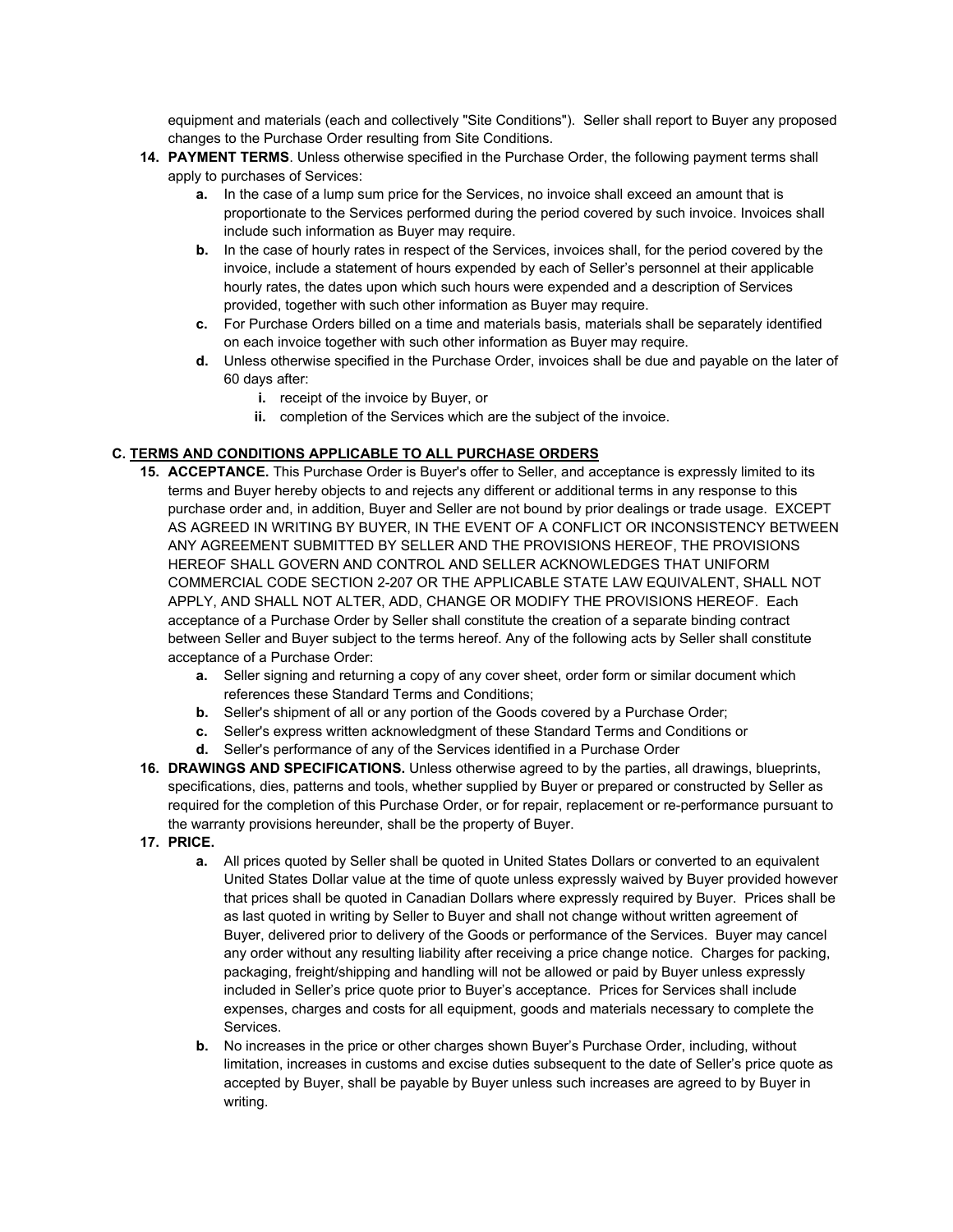equipment and materials (each and collectively "Site Conditions"). Seller shall report to Buyer any proposed changes to the Purchase Order resulting from Site Conditions.

- **14. PAYMENT TERMS**. Unless otherwise specified in the Purchase Order, the following payment terms shall apply to purchases of Services:
	- **a.** In the case of a lump sum price for the Services, no invoice shall exceed an amount that is proportionate to the Services performed during the period covered by such invoice. Invoices shall include such information as Buyer may require.
	- **b.** In the case of hourly rates in respect of the Services, invoices shall, for the period covered by the invoice, include a statement of hours expended by each of Seller's personnel at their applicable hourly rates, the dates upon which such hours were expended and a description of Services provided, together with such other information as Buyer may require.
	- **c.** For Purchase Orders billed on a time and materials basis, materials shall be separately identified on each invoice together with such other information as Buyer may require.
	- **d.** Unless otherwise specified in the Purchase Order, invoices shall be due and payable on the later of 60 days after:
		- **i.** receipt of the invoice by Buyer, or
		- **ii.** completion of the Services which are the subject of the invoice.

# **C. TERMS AND CONDITIONS APPLICABLE TO ALL PURCHASE ORDERS**

- **15. ACCEPTANCE.** This Purchase Order is Buyer's offer to Seller, and acceptance is expressly limited to its terms and Buyer hereby objects to and rejects any different or additional terms in any response to this purchase order and, in addition, Buyer and Seller are not bound by prior dealings or trade usage. EXCEPT AS AGREED IN WRITING BY BUYER, IN THE EVENT OF A CONFLICT OR INCONSISTENCY BETWEEN ANY AGREEMENT SUBMITTED BY SELLER AND THE PROVISIONS HEREOF, THE PROVISIONS HEREOF SHALL GOVERN AND CONTROL AND SELLER ACKNOWLEDGES THAT UNIFORM COMMERCIAL CODE SECTION 2-207 OR THE APPLICABLE STATE LAW EQUIVALENT, SHALL NOT APPLY, AND SHALL NOT ALTER, ADD, CHANGE OR MODIFY THE PROVISIONS HEREOF. Each acceptance of a Purchase Order by Seller shall constitute the creation of a separate binding contract between Seller and Buyer subject to the terms hereof. Any of the following acts by Seller shall constitute acceptance of a Purchase Order:
	- **a.** Seller signing and returning a copy of any cover sheet, order form or similar document which references these Standard Terms and Conditions;
	- **b.** Seller's shipment of all or any portion of the Goods covered by a Purchase Order;
	- **c.** Seller's express written acknowledgment of these Standard Terms and Conditions or
	- **d.** Seller's performance of any of the Services identified in a Purchase Order
- **16. DRAWINGS AND SPECIFICATIONS.** Unless otherwise agreed to by the parties, all drawings, blueprints, specifications, dies, patterns and tools, whether supplied by Buyer or prepared or constructed by Seller as required for the completion of this Purchase Order, or for repair, replacement or re-performance pursuant to the warranty provisions hereunder, shall be the property of Buyer.
- **17. PRICE.**
	- **a.** All prices quoted by Seller shall be quoted in United States Dollars or converted to an equivalent United States Dollar value at the time of quote unless expressly waived by Buyer provided however that prices shall be quoted in Canadian Dollars where expressly required by Buyer. Prices shall be as last quoted in writing by Seller to Buyer and shall not change without written agreement of Buyer, delivered prior to delivery of the Goods or performance of the Services. Buyer may cancel any order without any resulting liability after receiving a price change notice. Charges for packing, packaging, freight/shipping and handling will not be allowed or paid by Buyer unless expressly included in Seller's price quote prior to Buyer's acceptance. Prices for Services shall include expenses, charges and costs for all equipment, goods and materials necessary to complete the Services.
	- **b.** No increases in the price or other charges shown Buyer's Purchase Order, including, without limitation, increases in customs and excise duties subsequent to the date of Seller's price quote as accepted by Buyer, shall be payable by Buyer unless such increases are agreed to by Buyer in writing.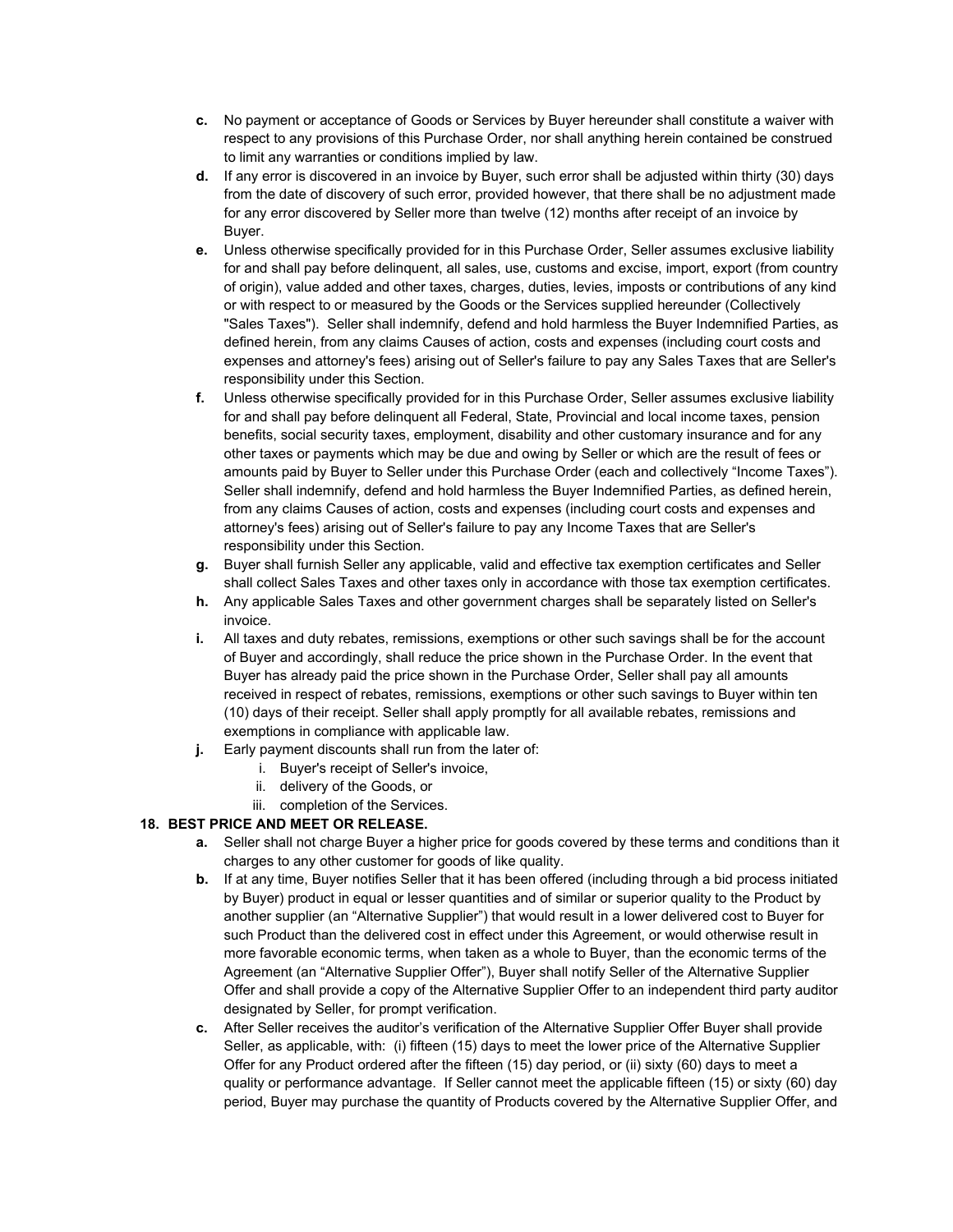- **c.** No payment or acceptance of Goods or Services by Buyer hereunder shall constitute a waiver with respect to any provisions of this Purchase Order, nor shall anything herein contained be construed to limit any warranties or conditions implied by law.
- **d.** If any error is discovered in an invoice by Buyer, such error shall be adjusted within thirty (30) days from the date of discovery of such error, provided however, that there shall be no adjustment made for any error discovered by Seller more than twelve (12) months after receipt of an invoice by Buyer.
- **e.** Unless otherwise specifically provided for in this Purchase Order, Seller assumes exclusive liability for and shall pay before delinquent, all sales, use, customs and excise, import, export (from country of origin), value added and other taxes, charges, duties, levies, imposts or contributions of any kind or with respect to or measured by the Goods or the Services supplied hereunder (Collectively "Sales Taxes"). Seller shall indemnify, defend and hold harmless the Buyer Indemnified Parties, as defined herein, from any claims Causes of action, costs and expenses (including court costs and expenses and attorney's fees) arising out of Seller's failure to pay any Sales Taxes that are Seller's responsibility under this Section.
- **f.** Unless otherwise specifically provided for in this Purchase Order, Seller assumes exclusive liability for and shall pay before delinquent all Federal, State, Provincial and local income taxes, pension benefits, social security taxes, employment, disability and other customary insurance and for any other taxes or payments which may be due and owing by Seller or which are the result of fees or amounts paid by Buyer to Seller under this Purchase Order (each and collectively "Income Taxes"). Seller shall indemnify, defend and hold harmless the Buyer Indemnified Parties, as defined herein, from any claims Causes of action, costs and expenses (including court costs and expenses and attorney's fees) arising out of Seller's failure to pay any Income Taxes that are Seller's responsibility under this Section.
- **g.** Buyer shall furnish Seller any applicable, valid and effective tax exemption certificates and Seller shall collect Sales Taxes and other taxes only in accordance with those tax exemption certificates.
- **h.** Any applicable Sales Taxes and other government charges shall be separately listed on Seller's invoice.
- **i.** All taxes and duty rebates, remissions, exemptions or other such savings shall be for the account of Buyer and accordingly, shall reduce the price shown in the Purchase Order. In the event that Buyer has already paid the price shown in the Purchase Order, Seller shall pay all amounts received in respect of rebates, remissions, exemptions or other such savings to Buyer within ten (10) days of their receipt. Seller shall apply promptly for all available rebates, remissions and exemptions in compliance with applicable law.
- **j.** Early payment discounts shall run from the later of:
	- i. Buyer's receipt of Seller's invoice,
	- ii. delivery of the Goods, or
	- iii. completion of the Services.

## **18. BEST PRICE AND MEET OR RELEASE.**

- **a.** Seller shall not charge Buyer a higher price for goods covered by these terms and conditions than it charges to any other customer for goods of like quality.
- **b.** If at any time, Buyer notifies Seller that it has been offered (including through a bid process initiated by Buyer) product in equal or lesser quantities and of similar or superior quality to the Product by another supplier (an "Alternative Supplier") that would result in a lower delivered cost to Buyer for such Product than the delivered cost in effect under this Agreement, or would otherwise result in more favorable economic terms, when taken as a whole to Buyer, than the economic terms of the Agreement (an "Alternative Supplier Offer"), Buyer shall notify Seller of the Alternative Supplier Offer and shall provide a copy of the Alternative Supplier Offer to an independent third party auditor designated by Seller, for prompt verification.
- **c.** After Seller receives the auditor's verification of the Alternative Supplier Offer Buyer shall provide Seller, as applicable, with: (i) fifteen (15) days to meet the lower price of the Alternative Supplier Offer for any Product ordered after the fifteen (15) day period, or (ii) sixty (60) days to meet a quality or performance advantage. If Seller cannot meet the applicable fifteen (15) or sixty (60) day period, Buyer may purchase the quantity of Products covered by the Alternative Supplier Offer, and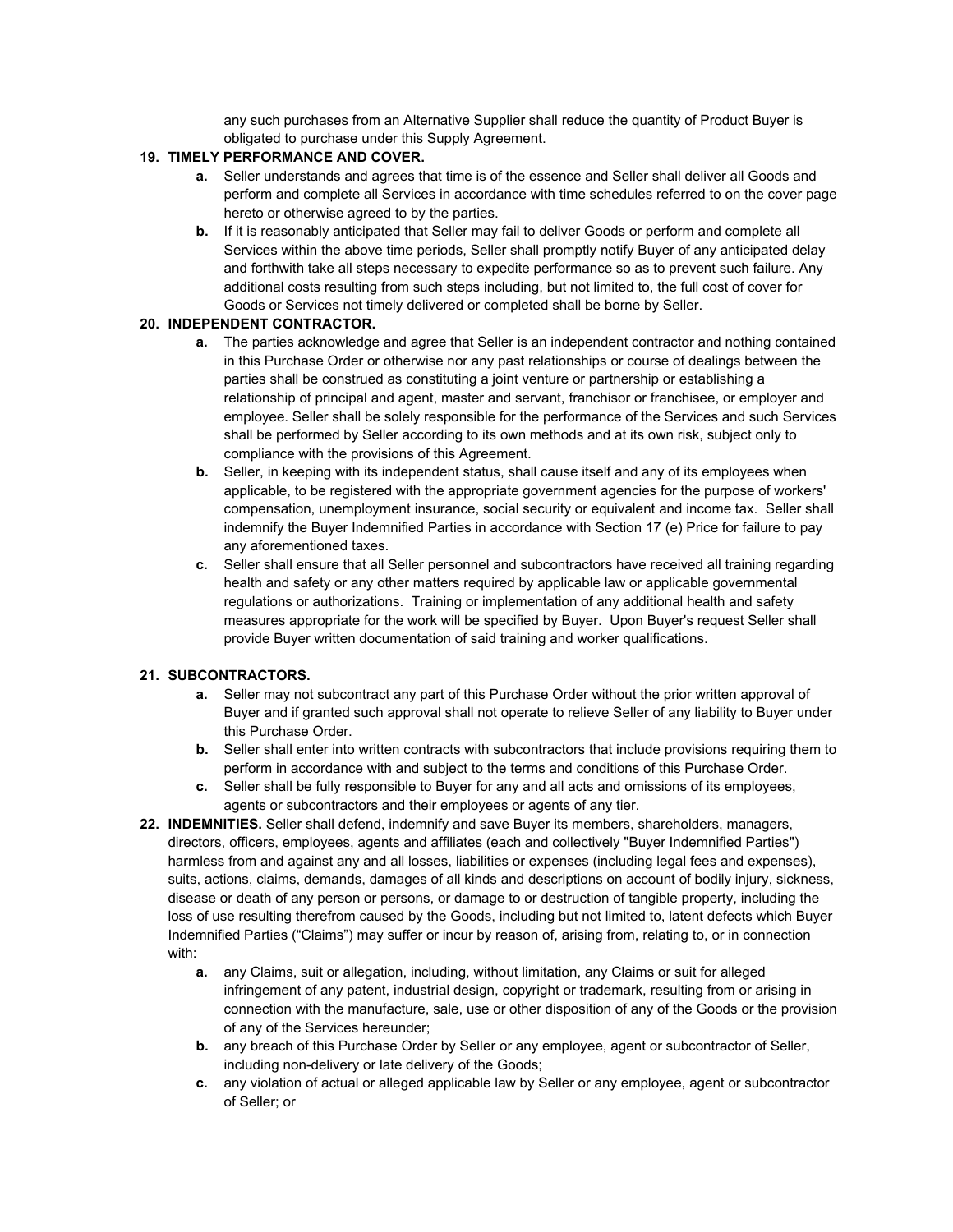any such purchases from an Alternative Supplier shall reduce the quantity of Product Buyer is obligated to purchase under this Supply Agreement.

## **19. TIMELY PERFORMANCE AND COVER.**

- **a.** Seller understands and agrees that time is of the essence and Seller shall deliver all Goods and perform and complete all Services in accordance with time schedules referred to on the cover page hereto or otherwise agreed to by the parties.
- **b.** If it is reasonably anticipated that Seller may fail to deliver Goods or perform and complete all Services within the above time periods, Seller shall promptly notify Buyer of any anticipated delay and forthwith take all steps necessary to expedite performance so as to prevent such failure. Any additional costs resulting from such steps including, but not limited to, the full cost of cover for Goods or Services not timely delivered or completed shall be borne by Seller.

## **20. INDEPENDENT CONTRACTOR.**

- **a.** The parties acknowledge and agree that Seller is an independent contractor and nothing contained in this Purchase Order or otherwise nor any past relationships or course of dealings between the parties shall be construed as constituting a joint venture or partnership or establishing a relationship of principal and agent, master and servant, franchisor or franchisee, or employer and employee. Seller shall be solely responsible for the performance of the Services and such Services shall be performed by Seller according to its own methods and at its own risk, subject only to compliance with the provisions of this Agreement.
- **b.** Seller, in keeping with its independent status, shall cause itself and any of its employees when applicable, to be registered with the appropriate government agencies for the purpose of workers' compensation, unemployment insurance, social security or equivalent and income tax. Seller shall indemnify the Buyer Indemnified Parties in accordance with Section 17 (e) Price for failure to pay any aforementioned taxes.
- **c.** Seller shall ensure that all Seller personnel and subcontractors have received all training regarding health and safety or any other matters required by applicable law or applicable governmental regulations or authorizations. Training or implementation of any additional health and safety measures appropriate for the work will be specified by Buyer. Upon Buyer's request Seller shall provide Buyer written documentation of said training and worker qualifications.

## **21. SUBCONTRACTORS.**

- **a.** Seller may not subcontract any part of this Purchase Order without the prior written approval of Buyer and if granted such approval shall not operate to relieve Seller of any liability to Buyer under this Purchase Order.
- **b.** Seller shall enter into written contracts with subcontractors that include provisions requiring them to perform in accordance with and subject to the terms and conditions of this Purchase Order.
- **c.** Seller shall be fully responsible to Buyer for any and all acts and omissions of its employees, agents or subcontractors and their employees or agents of any tier.
- **22. INDEMNITIES.** Seller shall defend, indemnify and save Buyer its members, shareholders, managers, directors, officers, employees, agents and affiliates (each and collectively "Buyer Indemnified Parties") harmless from and against any and all losses, liabilities or expenses (including legal fees and expenses), suits, actions, claims, demands, damages of all kinds and descriptions on account of bodily injury, sickness, disease or death of any person or persons, or damage to or destruction of tangible property, including the loss of use resulting therefrom caused by the Goods, including but not limited to, latent defects which Buyer Indemnified Parties ("Claims") may suffer or incur by reason of, arising from, relating to, or in connection with:
	- **a.** any Claims, suit or allegation, including, without limitation, any Claims or suit for alleged infringement of any patent, industrial design, copyright or trademark, resulting from or arising in connection with the manufacture, sale, use or other disposition of any of the Goods or the provision of any of the Services hereunder;
	- **b.** any breach of this Purchase Order by Seller or any employee, agent or subcontractor of Seller, including non-delivery or late delivery of the Goods;
	- **c.** any violation of actual or alleged applicable law by Seller or any employee, agent or subcontractor of Seller; or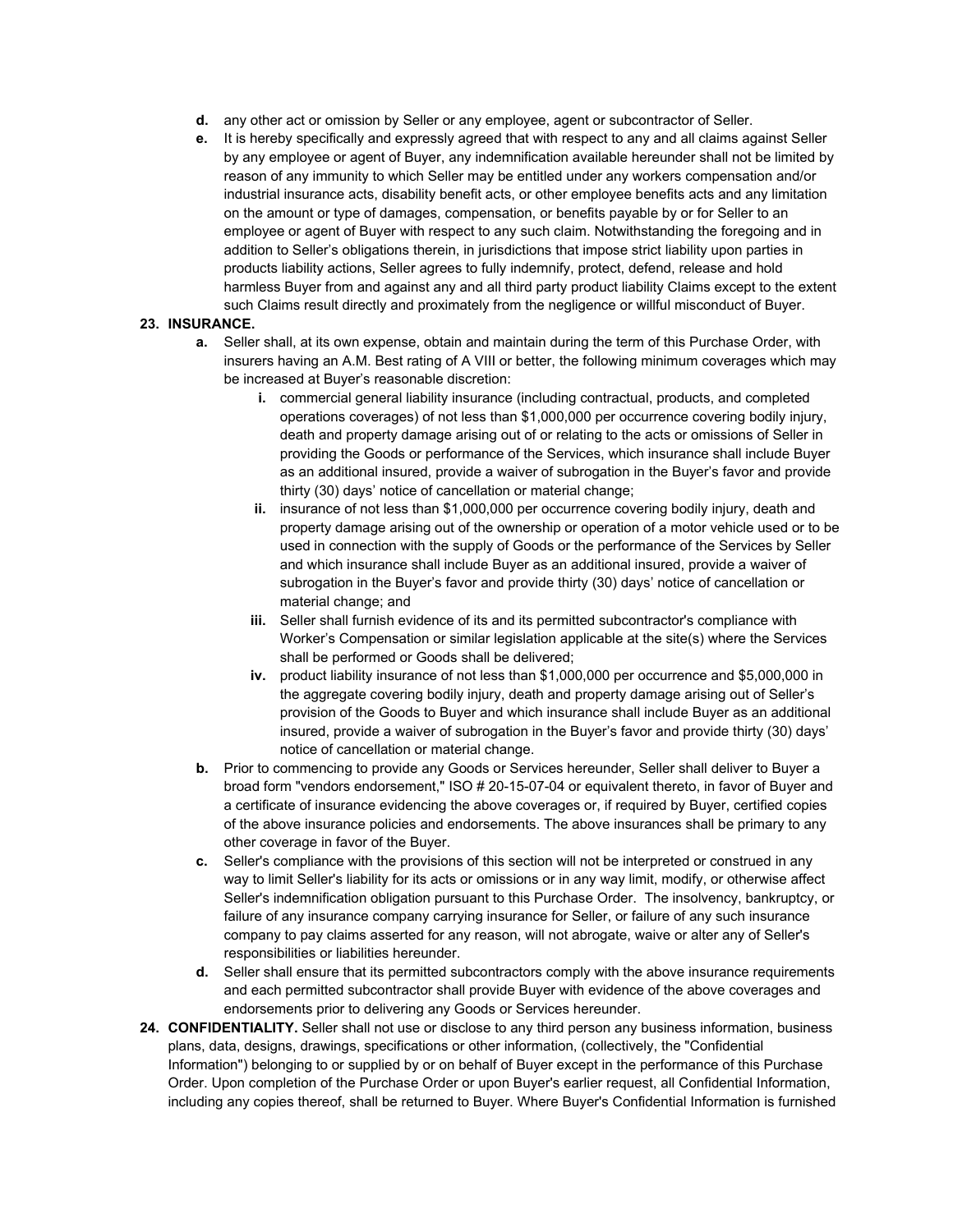- **d.** any other act or omission by Seller or any employee, agent or subcontractor of Seller.
- **e.** It is hereby specifically and expressly agreed that with respect to any and all claims against Seller by any employee or agent of Buyer, any indemnification available hereunder shall not be limited by reason of any immunity to which Seller may be entitled under any workers compensation and/or industrial insurance acts, disability benefit acts, or other employee benefits acts and any limitation on the amount or type of damages, compensation, or benefits payable by or for Seller to an employee or agent of Buyer with respect to any such claim. Notwithstanding the foregoing and in addition to Seller's obligations therein, in jurisdictions that impose strict liability upon parties in products liability actions, Seller agrees to fully indemnify, protect, defend, release and hold harmless Buyer from and against any and all third party product liability Claims except to the extent such Claims result directly and proximately from the negligence or willful misconduct of Buyer.

## **23. INSURANCE.**

- **a.** Seller shall, at its own expense, obtain and maintain during the term of this Purchase Order, with insurers having an A.M. Best rating of A VIII or better, the following minimum coverages which may be increased at Buyer's reasonable discretion:
	- **i.** commercial general liability insurance (including contractual, products, and completed operations coverages) of not less than \$1,000,000 per occurrence covering bodily injury, death and property damage arising out of or relating to the acts or omissions of Seller in providing the Goods or performance of the Services, which insurance shall include Buyer as an additional insured, provide a waiver of subrogation in the Buyer's favor and provide thirty (30) days' notice of cancellation or material change;
	- **ii.** insurance of not less than \$1,000,000 per occurrence covering bodily injury, death and property damage arising out of the ownership or operation of a motor vehicle used or to be used in connection with the supply of Goods or the performance of the Services by Seller and which insurance shall include Buyer as an additional insured, provide a waiver of subrogation in the Buyer's favor and provide thirty (30) days' notice of cancellation or material change; and
	- **iii.** Seller shall furnish evidence of its and its permitted subcontractor's compliance with Worker's Compensation or similar legislation applicable at the site(s) where the Services shall be performed or Goods shall be delivered;
	- **iv.** product liability insurance of not less than \$1,000,000 per occurrence and \$5,000,000 in the aggregate covering bodily injury, death and property damage arising out of Seller's provision of the Goods to Buyer and which insurance shall include Buyer as an additional insured, provide a waiver of subrogation in the Buyer's favor and provide thirty (30) days' notice of cancellation or material change.
- **b.** Prior to commencing to provide any Goods or Services hereunder, Seller shall deliver to Buyer a broad form "vendors endorsement," ISO # 20-15-07-04 or equivalent thereto, in favor of Buyer and a certificate of insurance evidencing the above coverages or, if required by Buyer, certified copies of the above insurance policies and endorsements. The above insurances shall be primary to any other coverage in favor of the Buyer.
- **c.** Seller's compliance with the provisions of this section will not be interpreted or construed in any way to limit Seller's liability for its acts or omissions or in any way limit, modify, or otherwise affect Seller's indemnification obligation pursuant to this Purchase Order. The insolvency, bankruptcy, or failure of any insurance company carrying insurance for Seller, or failure of any such insurance company to pay claims asserted for any reason, will not abrogate, waive or alter any of Seller's responsibilities or liabilities hereunder.
- **d.** Seller shall ensure that its permitted subcontractors comply with the above insurance requirements and each permitted subcontractor shall provide Buyer with evidence of the above coverages and endorsements prior to delivering any Goods or Services hereunder.
- **24. CONFIDENTIALITY.** Seller shall not use or disclose to any third person any business information, business plans, data, designs, drawings, specifications or other information, (collectively, the "Confidential Information") belonging to or supplied by or on behalf of Buyer except in the performance of this Purchase Order. Upon completion of the Purchase Order or upon Buyer's earlier request, all Confidential Information, including any copies thereof, shall be returned to Buyer. Where Buyer's Confidential Information is furnished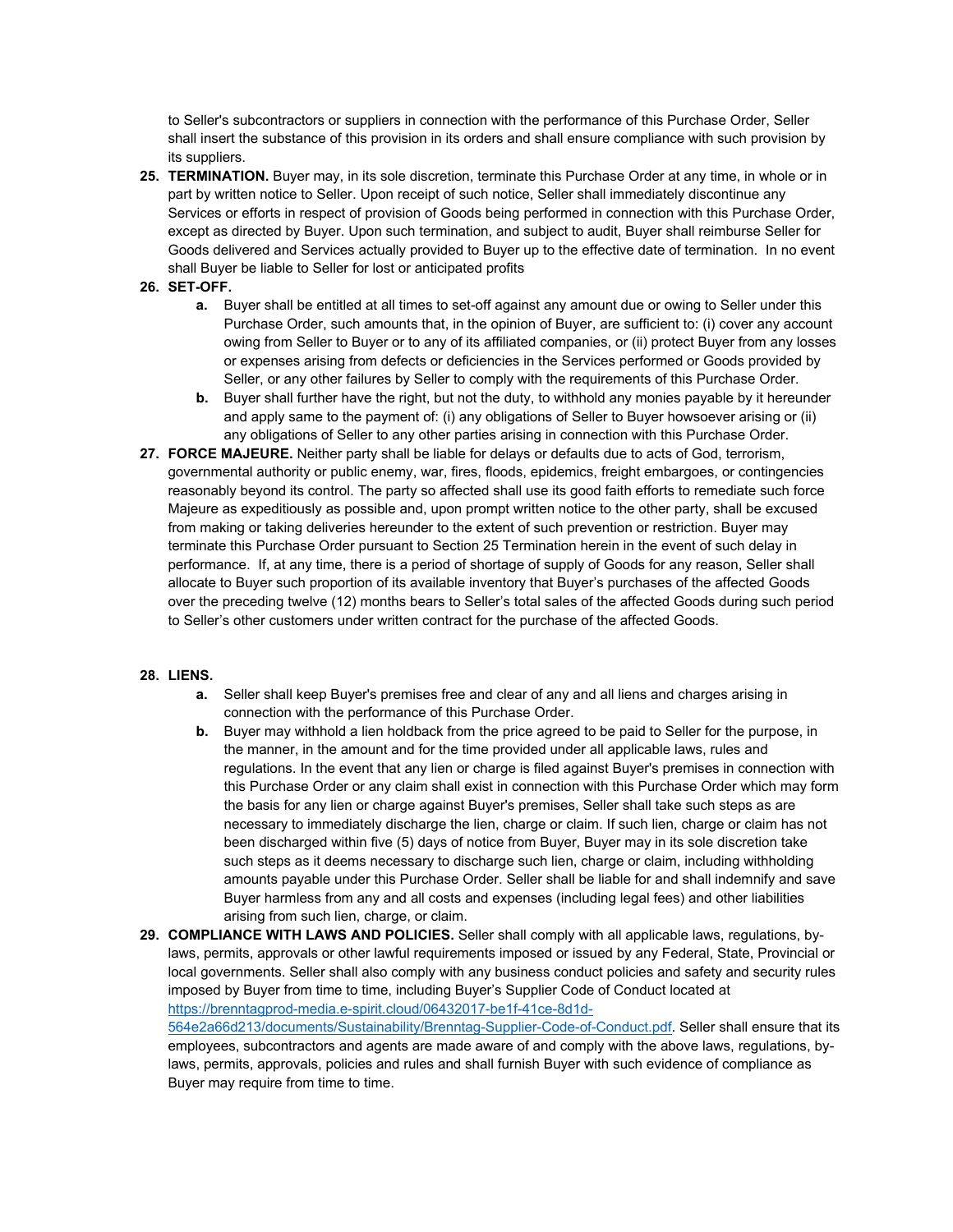to Seller's subcontractors or suppliers in connection with the performance of this Purchase Order, Seller shall insert the substance of this provision in its orders and shall ensure compliance with such provision by its suppliers.

- **25. TERMINATION.** Buyer may, in its sole discretion, terminate this Purchase Order at any time, in whole or in part by written notice to Seller. Upon receipt of such notice, Seller shall immediately discontinue any Services or efforts in respect of provision of Goods being performed in connection with this Purchase Order, except as directed by Buyer. Upon such termination, and subject to audit, Buyer shall reimburse Seller for Goods delivered and Services actually provided to Buyer up to the effective date of termination. In no event shall Buyer be liable to Seller for lost or anticipated profits
- **26. SET-OFF.**
	- **a.** Buyer shall be entitled at all times to set-off against any amount due or owing to Seller under this Purchase Order, such amounts that, in the opinion of Buyer, are sufficient to: (i) cover any account owing from Seller to Buyer or to any of its affiliated companies, or (ii) protect Buyer from any losses or expenses arising from defects or deficiencies in the Services performed or Goods provided by Seller, or any other failures by Seller to comply with the requirements of this Purchase Order.
	- **b.** Buyer shall further have the right, but not the duty, to withhold any monies payable by it hereunder and apply same to the payment of: (i) any obligations of Seller to Buyer howsoever arising or (ii) any obligations of Seller to any other parties arising in connection with this Purchase Order.
- **27. FORCE MAJEURE.** Neither party shall be liable for delays or defaults due to acts of God, terrorism, governmental authority or public enemy, war, fires, floods, epidemics, freight embargoes, or contingencies reasonably beyond its control. The party so affected shall use its good faith efforts to remediate such force Majeure as expeditiously as possible and, upon prompt written notice to the other party, shall be excused from making or taking deliveries hereunder to the extent of such prevention or restriction. Buyer may terminate this Purchase Order pursuant to Section 25 Termination herein in the event of such delay in performance. If, at any time, there is a period of shortage of supply of Goods for any reason, Seller shall allocate to Buyer such proportion of its available inventory that Buyer's purchases of the affected Goods over the preceding twelve (12) months bears to Seller's total sales of the affected Goods during such period to Seller's other customers under written contract for the purchase of the affected Goods.

#### **28. LIENS.**

- **a.** Seller shall keep Buyer's premises free and clear of any and all liens and charges arising in connection with the performance of this Purchase Order.
- **b.** Buyer may withhold a lien holdback from the price agreed to be paid to Seller for the purpose, in the manner, in the amount and for the time provided under all applicable laws, rules and regulations. In the event that any lien or charge is filed against Buyer's premises in connection with this Purchase Order or any claim shall exist in connection with this Purchase Order which may form the basis for any lien or charge against Buyer's premises, Seller shall take such steps as are necessary to immediately discharge the lien, charge or claim. If such lien, charge or claim has not been discharged within five (5) days of notice from Buyer, Buyer may in its sole discretion take such steps as it deems necessary to discharge such lien, charge or claim, including withholding amounts payable under this Purchase Order. Seller shall be liable for and shall indemnify and save Buyer harmless from any and all costs and expenses (including legal fees) and other liabilities arising from such lien, charge, or claim.
- **29. COMPLIANCE WITH LAWS AND POLICIES.** Seller shall comply with all applicable laws, regulations, bylaws, permits, approvals or other lawful requirements imposed or issued by any Federal, State, Provincial or local governments. Seller shall also comply with any business conduct policies and safety and security rules imposed by Buyer from time to time, including Buyer's Supplier Code of Conduct located at [https://brenntagprod-media.e-spirit.cloud/06432017-be1f-41ce-8d1d-](https://brenntagprod-media.e-spirit.cloud/06432017-be1f-41ce-8d1d-564e2a66d213/documents/Sustainability/Brenntag-Supplier-Code-of-Conduct.pdf)[564e2a66d213/documents/Sustainability/Brenntag-Supplier-Code-of-Conduct.pdf.](https://brenntagprod-media.e-spirit.cloud/06432017-be1f-41ce-8d1d-564e2a66d213/documents/Sustainability/Brenntag-Supplier-Code-of-Conduct.pdf) Seller shall ensure that its employees, subcontractors and agents are made aware of and comply with the above laws, regulations, by-

laws, permits, approvals, policies and rules and shall furnish Buyer with such evidence of compliance as Buyer may require from time to time.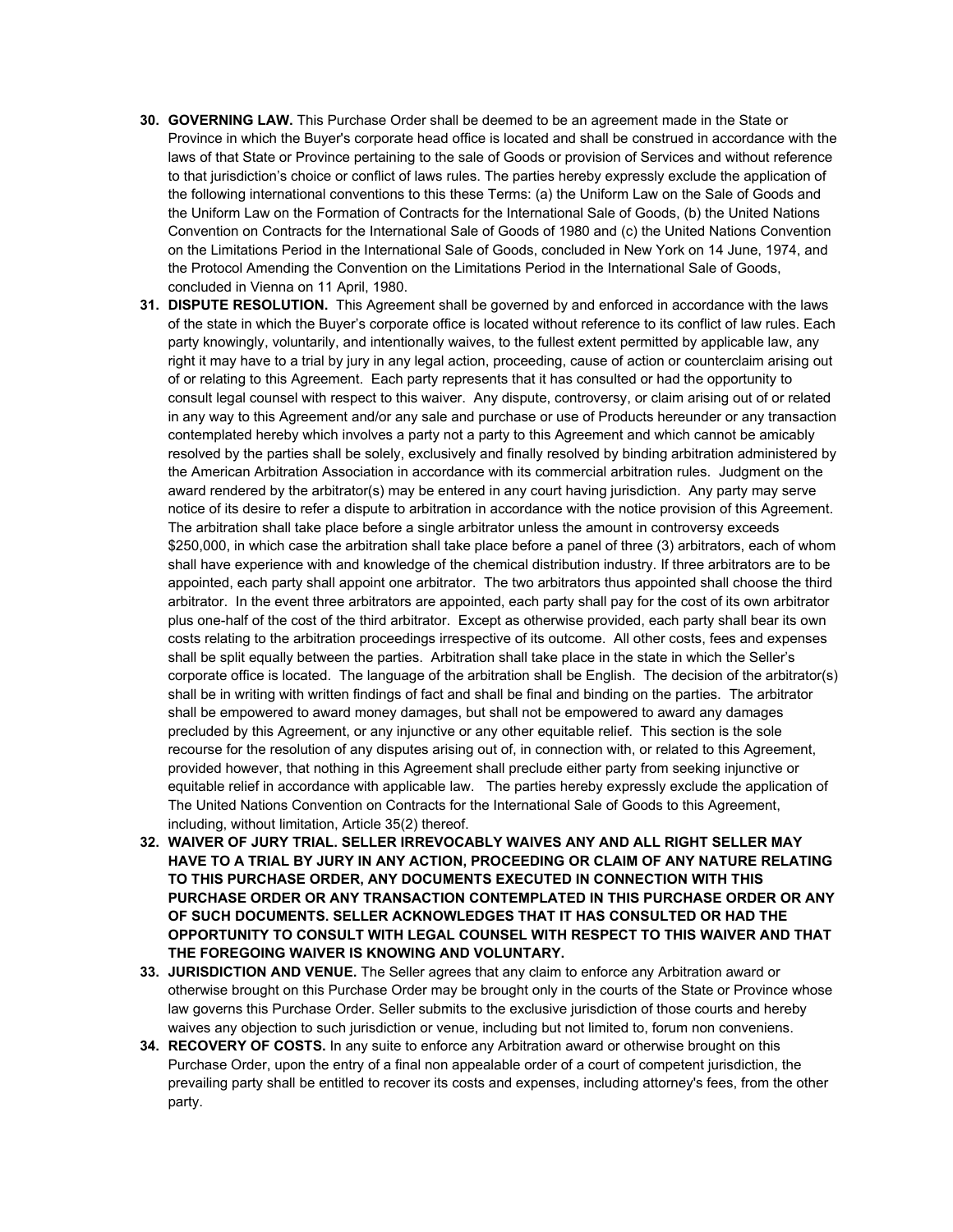- **30. GOVERNING LAW.** This Purchase Order shall be deemed to be an agreement made in the State or Province in which the Buyer's corporate head office is located and shall be construed in accordance with the laws of that State or Province pertaining to the sale of Goods or provision of Services and without reference to that jurisdiction's choice or conflict of laws rules. The parties hereby expressly exclude the application of the following international conventions to this these Terms: (a) the Uniform Law on the Sale of Goods and the Uniform Law on the Formation of Contracts for the International Sale of Goods, (b) the United Nations Convention on Contracts for the International Sale of Goods of 1980 and (c) the United Nations Convention on the Limitations Period in the International Sale of Goods, concluded in New York on 14 June, 1974, and the Protocol Amending the Convention on the Limitations Period in the International Sale of Goods, concluded in Vienna on 11 April, 1980.
- **31. DISPUTE RESOLUTION.** This Agreement shall be governed by and enforced in accordance with the laws of the state in which the Buyer's corporate office is located without reference to its conflict of law rules. Each party knowingly, voluntarily, and intentionally waives, to the fullest extent permitted by applicable law, any right it may have to a trial by jury in any legal action, proceeding, cause of action or counterclaim arising out of or relating to this Agreement. Each party represents that it has consulted or had the opportunity to consult legal counsel with respect to this waiver. Any dispute, controversy, or claim arising out of or related in any way to this Agreement and/or any sale and purchase or use of Products hereunder or any transaction contemplated hereby which involves a party not a party to this Agreement and which cannot be amicably resolved by the parties shall be solely, exclusively and finally resolved by binding arbitration administered by the American Arbitration Association in accordance with its commercial arbitration rules. Judgment on the award rendered by the arbitrator(s) may be entered in any court having jurisdiction. Any party may serve notice of its desire to refer a dispute to arbitration in accordance with the notice provision of this Agreement. The arbitration shall take place before a single arbitrator unless the amount in controversy exceeds \$250,000, in which case the arbitration shall take place before a panel of three (3) arbitrators, each of whom shall have experience with and knowledge of the chemical distribution industry. If three arbitrators are to be appointed, each party shall appoint one arbitrator. The two arbitrators thus appointed shall choose the third arbitrator. In the event three arbitrators are appointed, each party shall pay for the cost of its own arbitrator plus one-half of the cost of the third arbitrator. Except as otherwise provided, each party shall bear its own costs relating to the arbitration proceedings irrespective of its outcome. All other costs, fees and expenses shall be split equally between the parties. Arbitration shall take place in the state in which the Seller's corporate office is located. The language of the arbitration shall be English. The decision of the arbitrator(s) shall be in writing with written findings of fact and shall be final and binding on the parties. The arbitrator shall be empowered to award money damages, but shall not be empowered to award any damages precluded by this Agreement, or any injunctive or any other equitable relief. This section is the sole recourse for the resolution of any disputes arising out of, in connection with, or related to this Agreement, provided however, that nothing in this Agreement shall preclude either party from seeking injunctive or equitable relief in accordance with applicable law. The parties hereby expressly exclude the application of The United Nations Convention on Contracts for the International Sale of Goods to this Agreement, including, without limitation, Article 35(2) thereof.
- **32. WAIVER OF JURY TRIAL. SELLER IRREVOCABLY WAIVES ANY AND ALL RIGHT SELLER MAY HAVE TO A TRIAL BY JURY IN ANY ACTION, PROCEEDING OR CLAIM OF ANY NATURE RELATING TO THIS PURCHASE ORDER, ANY DOCUMENTS EXECUTED IN CONNECTION WITH THIS PURCHASE ORDER OR ANY TRANSACTION CONTEMPLATED IN THIS PURCHASE ORDER OR ANY OF SUCH DOCUMENTS. SELLER ACKNOWLEDGES THAT IT HAS CONSULTED OR HAD THE OPPORTUNITY TO CONSULT WITH LEGAL COUNSEL WITH RESPECT TO THIS WAIVER AND THAT THE FOREGOING WAIVER IS KNOWING AND VOLUNTARY.**
- **33. JURISDICTION AND VENUE.** The Seller agrees that any claim to enforce any Arbitration award or otherwise brought on this Purchase Order may be brought only in the courts of the State or Province whose law governs this Purchase Order. Seller submits to the exclusive jurisdiction of those courts and hereby waives any objection to such jurisdiction or venue, including but not limited to, forum non conveniens.
- **34. RECOVERY OF COSTS.** In any suite to enforce any Arbitration award or otherwise brought on this Purchase Order, upon the entry of a final non appealable order of a court of competent jurisdiction, the prevailing party shall be entitled to recover its costs and expenses, including attorney's fees, from the other party.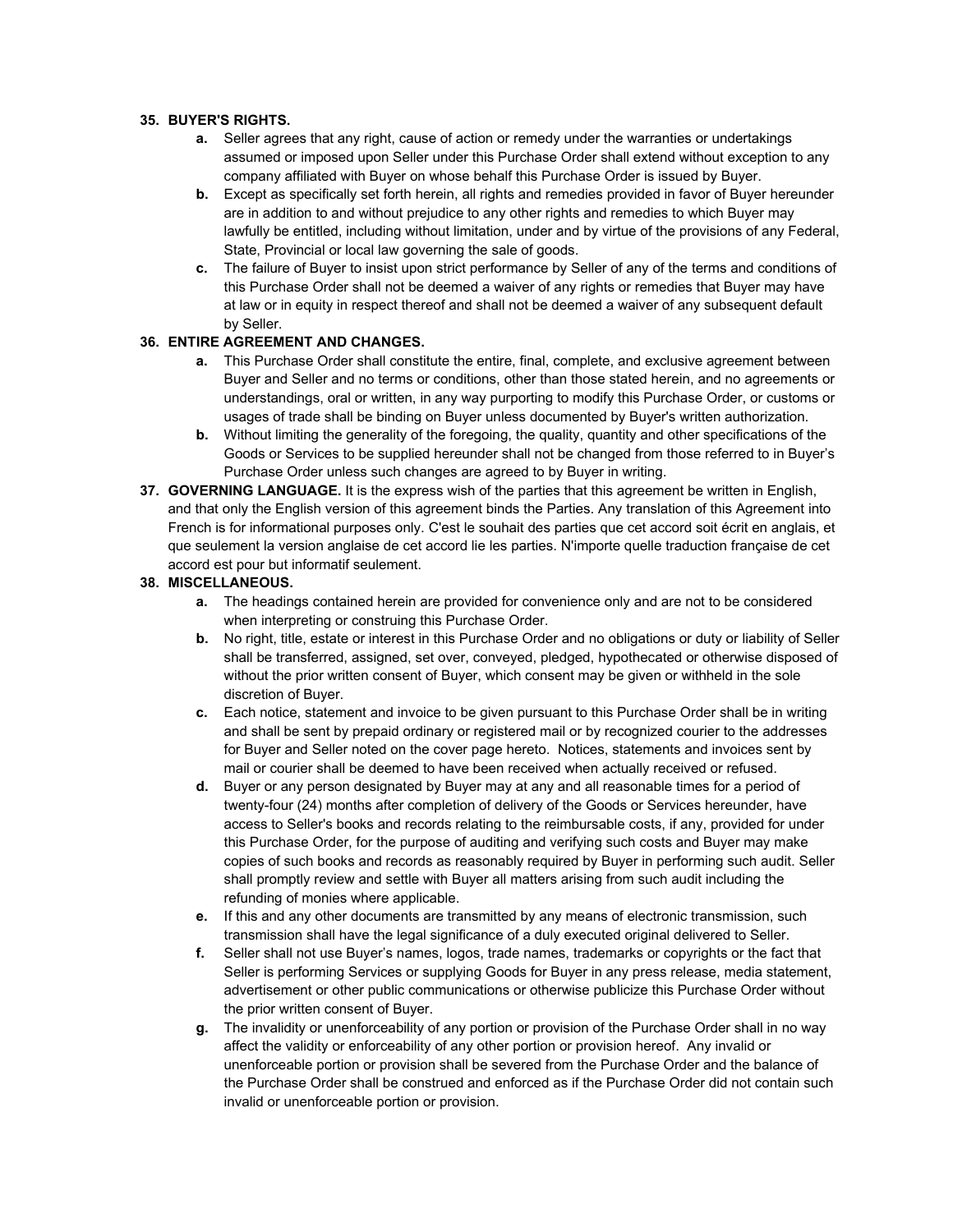#### **35. BUYER'S RIGHTS.**

- **a.** Seller agrees that any right, cause of action or remedy under the warranties or undertakings assumed or imposed upon Seller under this Purchase Order shall extend without exception to any company affiliated with Buyer on whose behalf this Purchase Order is issued by Buyer.
- **b.** Except as specifically set forth herein, all rights and remedies provided in favor of Buyer hereunder are in addition to and without prejudice to any other rights and remedies to which Buyer may lawfully be entitled, including without limitation, under and by virtue of the provisions of any Federal, State, Provincial or local law governing the sale of goods.
- **c.** The failure of Buyer to insist upon strict performance by Seller of any of the terms and conditions of this Purchase Order shall not be deemed a waiver of any rights or remedies that Buyer may have at law or in equity in respect thereof and shall not be deemed a waiver of any subsequent default by Seller.

# **36. ENTIRE AGREEMENT AND CHANGES.**

- **a.** This Purchase Order shall constitute the entire, final, complete, and exclusive agreement between Buyer and Seller and no terms or conditions, other than those stated herein, and no agreements or understandings, oral or written, in any way purporting to modify this Purchase Order, or customs or usages of trade shall be binding on Buyer unless documented by Buyer's written authorization.
- **b.** Without limiting the generality of the foregoing, the quality, quantity and other specifications of the Goods or Services to be supplied hereunder shall not be changed from those referred to in Buyer's Purchase Order unless such changes are agreed to by Buyer in writing.
- **37. GOVERNING LANGUAGE.** It is the express wish of the parties that this agreement be written in English, and that only the English version of this agreement binds the Parties. Any translation of this Agreement into French is for informational purposes only. C'est le souhait des parties que cet accord soit écrit en anglais, et que seulement la version anglaise de cet accord lie les parties. N'importe quelle traduction française de cet accord est pour but informatif seulement.

## **38. MISCELLANEOUS.**

- **a.** The headings contained herein are provided for convenience only and are not to be considered when interpreting or construing this Purchase Order.
- **b.** No right, title, estate or interest in this Purchase Order and no obligations or duty or liability of Seller shall be transferred, assigned, set over, conveyed, pledged, hypothecated or otherwise disposed of without the prior written consent of Buyer, which consent may be given or withheld in the sole discretion of Buyer.
- **c.** Each notice, statement and invoice to be given pursuant to this Purchase Order shall be in writing and shall be sent by prepaid ordinary or registered mail or by recognized courier to the addresses for Buyer and Seller noted on the cover page hereto. Notices, statements and invoices sent by mail or courier shall be deemed to have been received when actually received or refused.
- **d.** Buyer or any person designated by Buyer may at any and all reasonable times for a period of twenty-four (24) months after completion of delivery of the Goods or Services hereunder, have access to Seller's books and records relating to the reimbursable costs, if any, provided for under this Purchase Order, for the purpose of auditing and verifying such costs and Buyer may make copies of such books and records as reasonably required by Buyer in performing such audit. Seller shall promptly review and settle with Buyer all matters arising from such audit including the refunding of monies where applicable.
- **e.** If this and any other documents are transmitted by any means of electronic transmission, such transmission shall have the legal significance of a duly executed original delivered to Seller.
- **f.** Seller shall not use Buyer's names, logos, trade names, trademarks or copyrights or the fact that Seller is performing Services or supplying Goods for Buyer in any press release, media statement, advertisement or other public communications or otherwise publicize this Purchase Order without the prior written consent of Buyer.
- **g.** The invalidity or unenforceability of any portion or provision of the Purchase Order shall in no way affect the validity or enforceability of any other portion or provision hereof. Any invalid or unenforceable portion or provision shall be severed from the Purchase Order and the balance of the Purchase Order shall be construed and enforced as if the Purchase Order did not contain such invalid or unenforceable portion or provision.